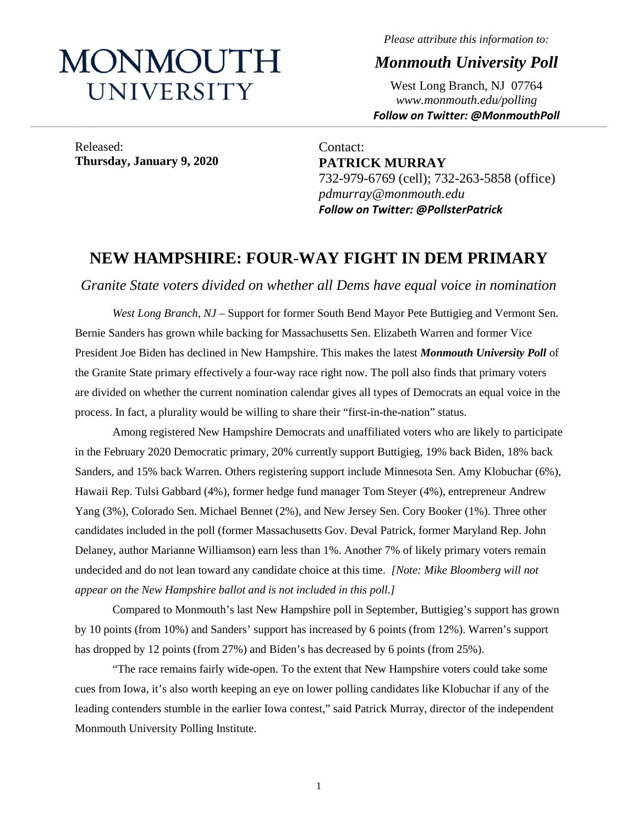# MONMOUTH UNIVERSITY

*Please attribute this information to:*

*Monmouth University Poll*

West Long Branch, NJ 07764 *www.monmouth.edu/polling Follow on Twitter: @MonmouthPoll*

Released: **Thursday, January 9, 2020**

Contact: **PATRICK MURRAY** 732-979-6769 (cell); 732-263-5858 (office) *pdmurray@monmouth.edu Follow on Twitter: @PollsterPatrick*

## **NEW HAMPSHIRE: FOUR-WAY FIGHT IN DEM PRIMARY**

**\_\_\_\_\_\_\_\_\_\_\_\_\_\_\_\_\_\_\_\_\_\_\_\_\_\_\_\_\_\_\_\_\_\_\_\_\_\_\_\_\_\_\_\_\_\_\_\_\_\_\_\_\_\_\_\_\_\_\_\_\_\_\_\_\_\_\_\_\_\_\_\_\_\_\_\_\_\_\_\_\_\_\_\_\_\_\_\_\_\_\_\_\_\_\_\_\_\_\_\_\_\_\_\_\_\_\_\_\_\_\_\_\_\_\_\_\_\_\_\_\_\_\_\_\_\_\_\_\_\_\_\_\_\_\_\_\_\_\_\_\_\_\_\_\_\_\_\_\_\_\_\_\_\_\_\_\_\_\_\_\_\_\_\_\_\_\_\_\_\_\_\_\_\_\_\_\_\_\_\_\_\_\_\_\_\_\_\_\_\_\_\_\_\_\_\_\_\_\_\_\_\_\_\_\_\_\_\_\_\_\_\_\_\_\_\_\_\_\_\_\_\_\_\_\_\_\_\_\_\_\_\_\_\_\_\_\_\_\_\_\_\_\_\_\_\_\_\_\_\_\_\_\_\_\_\_\_\_\_\_\_\_\_\_\_\_\_\_\_\_\_\_\_\_\_\_\_**

*Granite State voters divided on whether all Dems have equal voice in nomination* 

*West Long Branch, NJ* – Support for former South Bend Mayor Pete Buttigieg and Vermont Sen. Bernie Sanders has grown while backing for Massachusetts Sen. Elizabeth Warren and former Vice President Joe Biden has declined in New Hampshire. This makes the latest *Monmouth University Poll* of the Granite State primary effectively a four-way race right now. The poll also finds that primary voters are divided on whether the current nomination calendar gives all types of Democrats an equal voice in the process. In fact, a plurality would be willing to share their "first-in-the-nation" status.

Among registered New Hampshire Democrats and unaffiliated voters who are likely to participate in the February 2020 Democratic primary, 20% currently support Buttigieg, 19% back Biden, 18% back Sanders, and 15% back Warren. Others registering support include Minnesota Sen. Amy Klobuchar (6%), Hawaii Rep. Tulsi Gabbard (4%), former hedge fund manager Tom Steyer (4%), entrepreneur Andrew Yang (3%), Colorado Sen. Michael Bennet (2%), and New Jersey Sen. Cory Booker (1%). Three other candidates included in the poll (former Massachusetts Gov. Deval Patrick, former Maryland Rep. John Delaney, author Marianne Williamson) earn less than 1%. Another 7% of likely primary voters remain undecided and do not lean toward any candidate choice at this time. *[Note: Mike Bloomberg will not appear on the New Hampshire ballot and is not included in this poll.]*

Compared to Monmouth's last New Hampshire poll in September, Buttigieg's support has grown by 10 points (from 10%) and Sanders' support has increased by 6 points (from 12%). Warren's support has dropped by 12 points (from 27%) and Biden's has decreased by 6 points (from 25%).

"The race remains fairly wide-open. To the extent that New Hampshire voters could take some cues from Iowa, it's also worth keeping an eye on lower polling candidates like Klobuchar if any of the leading contenders stumble in the earlier Iowa contest," said Patrick Murray, director of the independent Monmouth University Polling Institute.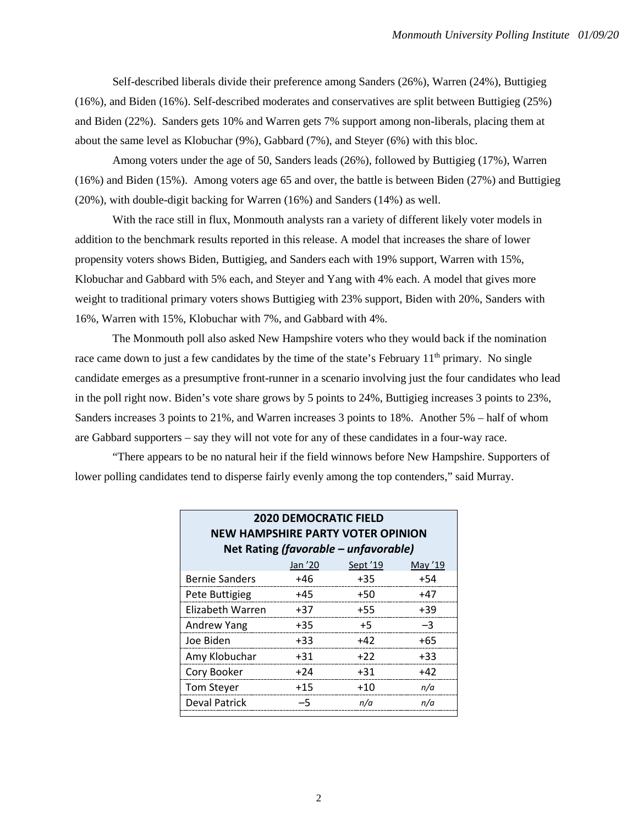Self-described liberals divide their preference among Sanders (26%), Warren (24%), Buttigieg (16%), and Biden (16%). Self-described moderates and conservatives are split between Buttigieg (25%) and Biden (22%). Sanders gets 10% and Warren gets 7% support among non-liberals, placing them at about the same level as Klobuchar (9%), Gabbard (7%), and Steyer (6%) with this bloc.

Among voters under the age of 50, Sanders leads (26%), followed by Buttigieg (17%), Warren (16%) and Biden (15%). Among voters age 65 and over, the battle is between Biden (27%) and Buttigieg (20%), with double-digit backing for Warren (16%) and Sanders (14%) as well.

With the race still in flux, Monmouth analysts ran a variety of different likely voter models in addition to the benchmark results reported in this release. A model that increases the share of lower propensity voters shows Biden, Buttigieg, and Sanders each with 19% support, Warren with 15%, Klobuchar and Gabbard with 5% each, and Steyer and Yang with 4% each. A model that gives more weight to traditional primary voters shows Buttigieg with 23% support, Biden with 20%, Sanders with 16%, Warren with 15%, Klobuchar with 7%, and Gabbard with 4%.

The Monmouth poll also asked New Hampshire voters who they would back if the nomination race came down to just a few candidates by the time of the state's February  $11<sup>th</sup>$  primary. No single candidate emerges as a presumptive front-runner in a scenario involving just the four candidates who lead in the poll right now. Biden's vote share grows by 5 points to 24%, Buttigieg increases 3 points to 23%, Sanders increases 3 points to 21%, and Warren increases 3 points to 18%. Another 5% – half of whom are Gabbard supporters – say they will not vote for any of these candidates in a four-way race.

"There appears to be no natural heir if the field winnows before New Hampshire. Supporters of lower polling candidates tend to disperse fairly evenly among the top contenders," said Murray.

| <b>2020 DEMOCRATIC FIELD</b><br><b>NEW HAMPSHIRE PARTY VOTER OPINION</b> |       |       |       |  |  |  |  |  |
|--------------------------------------------------------------------------|-------|-------|-------|--|--|--|--|--|
| Net Rating (favorable - unfavorable)                                     |       |       |       |  |  |  |  |  |
| Jan '20<br>Sept '19<br>May '19                                           |       |       |       |  |  |  |  |  |
| <b>Bernie Sanders</b>                                                    | +46   | $+35$ | $+54$ |  |  |  |  |  |
| Pete Buttigieg                                                           | $+45$ | $+50$ | $+47$ |  |  |  |  |  |
| Elizabeth Warren                                                         | $+37$ | $+55$ | $+39$ |  |  |  |  |  |
| Andrew Yang                                                              | $+35$ | $+5$  | $-3$  |  |  |  |  |  |
| Joe Biden                                                                | $+33$ | $+42$ | $+65$ |  |  |  |  |  |
| Amy Klobuchar                                                            | $+31$ | $+22$ | $+33$ |  |  |  |  |  |
| Cory Booker                                                              | $+24$ | $+31$ | $+42$ |  |  |  |  |  |
| <b>Tom Steyer</b>                                                        | $+15$ | $+10$ | n/a   |  |  |  |  |  |
| Deval Patrick                                                            | $-5$  | n/a   | n/a   |  |  |  |  |  |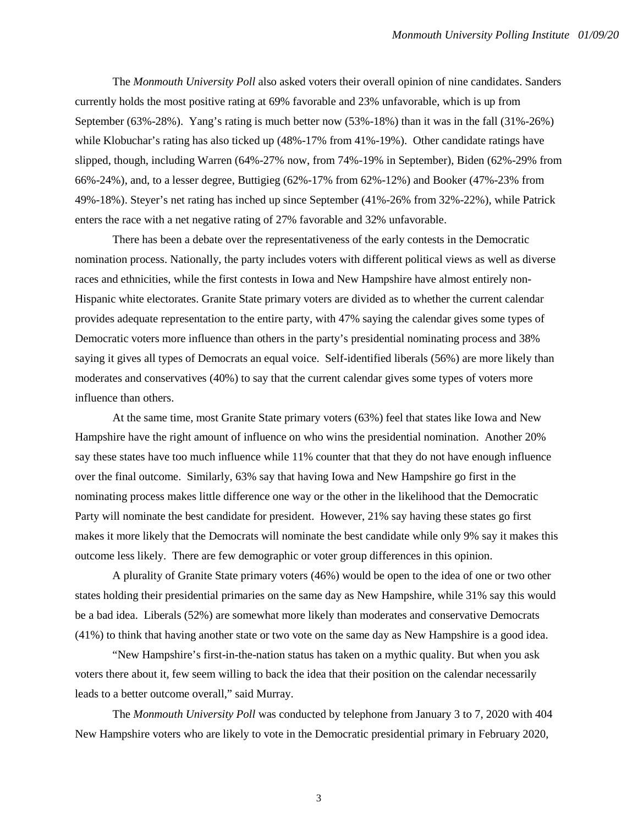The *Monmouth University Poll* also asked voters their overall opinion of nine candidates. Sanders currently holds the most positive rating at 69% favorable and 23% unfavorable, which is up from September (63%-28%). Yang's rating is much better now (53%-18%) than it was in the fall (31%-26%) while Klobuchar's rating has also ticked up (48%-17% from 41%-19%). Other candidate ratings have slipped, though, including Warren (64%-27% now, from 74%-19% in September), Biden (62%-29% from 66%-24%), and, to a lesser degree, Buttigieg (62%-17% from 62%-12%) and Booker (47%-23% from 49%-18%). Steyer's net rating has inched up since September (41%-26% from 32%-22%), while Patrick enters the race with a net negative rating of 27% favorable and 32% unfavorable.

There has been a debate over the representativeness of the early contests in the Democratic nomination process. Nationally, the party includes voters with different political views as well as diverse races and ethnicities, while the first contests in Iowa and New Hampshire have almost entirely non-Hispanic white electorates. Granite State primary voters are divided as to whether the current calendar provides adequate representation to the entire party, with 47% saying the calendar gives some types of Democratic voters more influence than others in the party's presidential nominating process and 38% saying it gives all types of Democrats an equal voice. Self-identified liberals (56%) are more likely than moderates and conservatives (40%) to say that the current calendar gives some types of voters more influence than others.

At the same time, most Granite State primary voters (63%) feel that states like Iowa and New Hampshire have the right amount of influence on who wins the presidential nomination. Another 20% say these states have too much influence while 11% counter that that they do not have enough influence over the final outcome. Similarly, 63% say that having Iowa and New Hampshire go first in the nominating process makes little difference one way or the other in the likelihood that the Democratic Party will nominate the best candidate for president. However, 21% say having these states go first makes it more likely that the Democrats will nominate the best candidate while only 9% say it makes this outcome less likely. There are few demographic or voter group differences in this opinion.

A plurality of Granite State primary voters (46%) would be open to the idea of one or two other states holding their presidential primaries on the same day as New Hampshire, while 31% say this would be a bad idea. Liberals (52%) are somewhat more likely than moderates and conservative Democrats (41%) to think that having another state or two vote on the same day as New Hampshire is a good idea.

"New Hampshire's first-in-the-nation status has taken on a mythic quality. But when you ask voters there about it, few seem willing to back the idea that their position on the calendar necessarily leads to a better outcome overall," said Murray.

The *Monmouth University Poll* was conducted by telephone from January 3 to 7, 2020 with 404 New Hampshire voters who are likely to vote in the Democratic presidential primary in February 2020,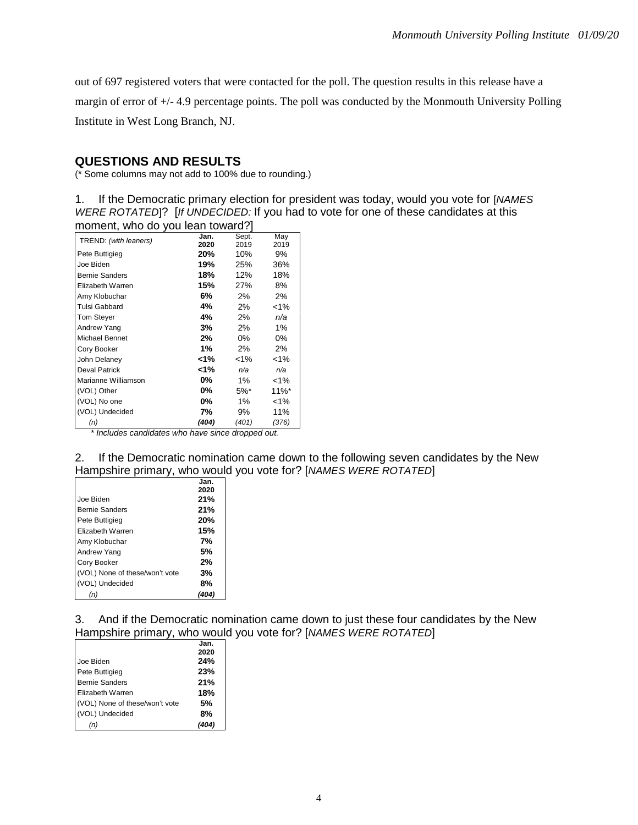out of 697 registered voters that were contacted for the poll. The question results in this release have a margin of error of +/- 4.9 percentage points. The poll was conducted by the Monmouth University Polling Institute in West Long Branch, NJ.

#### **QUESTIONS AND RESULTS**

(\* Some columns may not add to 100% due to rounding.)

1. If the Democratic primary election for president was today, would you vote for [*NAMES WERE ROTATED*]? [*If UNDECIDED:* If you had to vote for one of these candidates at this moment, who do you lean toward?]

| TREND: (with leaners) | Jan.<br>2020 | Sept.<br>2019      | May<br>2019         |
|-----------------------|--------------|--------------------|---------------------|
| Pete Buttigieg        | 20%          | 10%                | 9%                  |
| Joe Biden             | 19%          | 25%                | 36%                 |
| <b>Bernie Sanders</b> | 18%          | 12%                | 18%                 |
| Elizabeth Warren      | 15%          | 27%                | 8%                  |
| Amy Klobuchar         | 6%           | 2%                 | 2%                  |
| Tulsi Gabbard         | 4%           | 2%                 | $< 1\%$             |
| <b>Tom Stever</b>     | 4%           | 2%                 | n/a                 |
| Andrew Yang           | 3%           | 2%                 | $1\%$               |
| Michael Bennet        | 2%           | 0%                 | 0%                  |
| Cory Booker           | 1%           | 2%                 | 2%                  |
| John Delaney          | 1%>          | $< 1\%$            | $< 1\%$             |
| Deval Patrick         | 1%>          | n/a                | n/a                 |
| Marianne Williamson   | $0\%$        | $1\%$              | $< 1\%$             |
| (VOL) Other           | $0\%$        | $5\%$ <sup>*</sup> | $11\%$ <sup>*</sup> |
| (VOL) No one          | $0\%$        | $1\%$              | $< 1\%$             |
| (VOL) Undecided       | 7%           | 9%                 | 11%                 |
| (n)                   | (404)        | (401)              | (376)               |

*\* Includes candidates who have since dropped out.*

2. If the Democratic nomination came down to the following seven candidates by the New Hampshire primary, who would you vote for? [*NAMES WERE ROTATED*]

|                                | Jan. |
|--------------------------------|------|
|                                | 2020 |
| Joe Biden                      | 21%  |
| <b>Bernie Sanders</b>          | 21%  |
| Pete Buttigieg                 | 20%  |
| Elizabeth Warren               | 15%  |
| Amy Klobuchar                  | 7%   |
| Andrew Yang                    | .5%  |
| Cory Booker                    | 2%   |
| (VOL) None of these/won't vote | 3%   |
| (VOL) Undecided                | 8%   |
|                                |      |

3. And if the Democratic nomination came down to just these four candidates by the New Hampshire primary, who would you vote for? [*NAMES WERE ROTATED*]

|                                | Jan. |
|--------------------------------|------|
|                                | 2020 |
| Joe Biden                      | 24%  |
| Pete Buttigieg                 | 23%  |
| <b>Bernie Sanders</b>          | 21%  |
| Elizabeth Warren               | 18%  |
| (VOL) None of these/won't vote | 5%   |
| (VOL) Undecided                | 8%   |
|                                |      |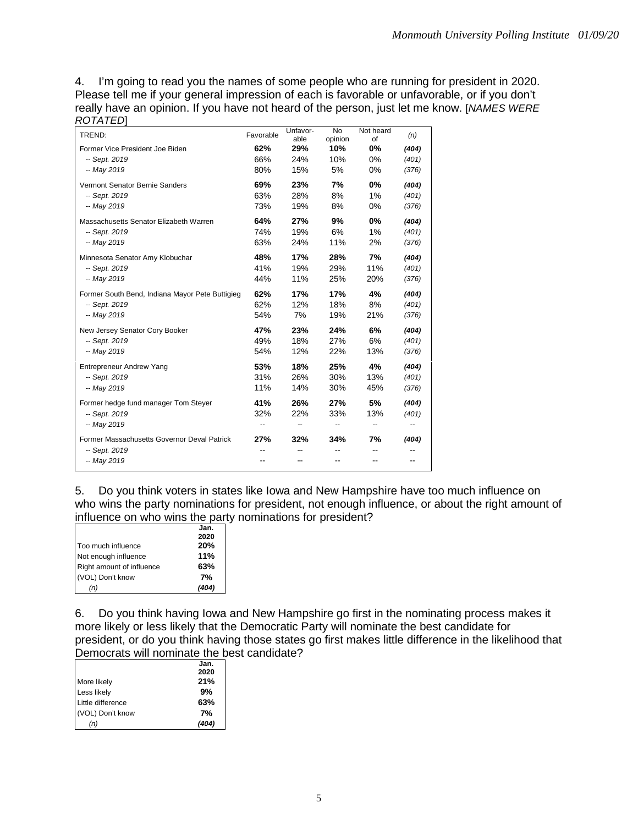4. I'm going to read you the names of some people who are running for president in 2020. Please tell me if your general impression of each is favorable or unfavorable, or if you don't really have an opinion. If you have not heard of the person, just let me know. [*NAMES WERE ROTATED*]

| TREND:                                          | Favorable | Unfavor-<br>able | <b>No</b><br>opinion | Not heard<br>οf | (n)   |
|-------------------------------------------------|-----------|------------------|----------------------|-----------------|-------|
| Former Vice President Joe Biden                 | 62%       | 29%              | 10%                  | 0%              | (404) |
| -- Sept. 2019                                   | 66%       | 24%              | 10%                  | 0%              | (401) |
| -- May 2019                                     | 80%       | 15%              | 5%                   | 0%              | (376) |
| Vermont Senator Bernie Sanders                  | 69%       | 23%              | 7%                   | 0%              | (404) |
| -- Sept. 2019                                   | 63%       | 28%              | 8%                   | 1%              | (401) |
| -- May 2019                                     | 73%       | 19%              | 8%                   | 0%              | (376) |
| Massachusetts Senator Elizabeth Warren          | 64%       | 27%              | 9%                   | 0%              | (404) |
| -- Sept. 2019                                   | 74%       | 19%              | 6%                   | 1%              | (401) |
| -- May 2019                                     | 63%       | 24%              | 11%                  | 2%              | (376) |
| Minnesota Senator Amy Klobuchar                 | 48%       | 17%              | 28%                  | 7%              | (404) |
| -- Sept. 2019                                   | 41%       | 19%              | 29%                  | 11%             | (401) |
| -- May 2019                                     | 44%       | 11%              | 25%                  | 20%             | (376) |
| Former South Bend, Indiana Mayor Pete Buttigieg | 62%       | 17%              | 17%                  | 4%              | (404) |
| -- Sept. 2019                                   | 62%       | 12%              | 18%                  | 8%              | (401) |
| -- May 2019                                     | 54%       | 7%               | 19%                  | 21%             | (376) |
| New Jersey Senator Cory Booker                  | 47%       | 23%              | 24%                  | 6%              | (404) |
| -- Sept. 2019                                   | 49%       | 18%              | 27%                  | 6%              | (401) |
| -- May 2019                                     | 54%       | 12%              | 22%                  | 13%             | (376) |
| <b>Entrepreneur Andrew Yang</b>                 | 53%       | 18%              | 25%                  | 4%              | (404) |
| -- Sept. 2019                                   | 31%       | 26%              | 30%                  | 13%             | (401) |
| -- May 2019                                     | 11%       | 14%              | 30%                  | 45%             | (376) |
| Former hedge fund manager Tom Steyer            | 41%       | 26%              | 27%                  | 5%              | (404) |
| -- Sept. 2019                                   | 32%       | 22%              | 33%                  | 13%             | (401) |
| -- May 2019                                     | --        | --               | --                   | --              |       |
| Former Massachusetts Governor Deval Patrick     | 27%       | 32%              | 34%                  | 7%              | (404) |
| -- Sept. 2019                                   |           |                  |                      |                 |       |
| -- May 2019                                     |           |                  |                      |                 |       |

5. Do you think voters in states like Iowa and New Hampshire have too much influence on who wins the party nominations for president, not enough influence, or about the right amount of influence on who wins the party nominations for president?

|                           | Jan.  |
|---------------------------|-------|
|                           | 2020  |
| Too much influence        | 20%   |
| Not enough influence      | 11%   |
| Right amount of influence | 63%   |
| (VOL) Don't know          | 7%    |
| (n)                       | (404) |

6. Do you think having Iowa and New Hampshire go first in the nominating process makes it more likely or less likely that the Democratic Party will nominate the best candidate for president, or do you think having those states go first makes little difference in the likelihood that Democrats will nominate the best candidate?

|                   | Jan.  |
|-------------------|-------|
|                   | 2020  |
| More likely       | 21%   |
| Less likely       | 9%    |
| Little difference | 63%   |
| (VOL) Don't know  | 7%    |
| (n)               | (404) |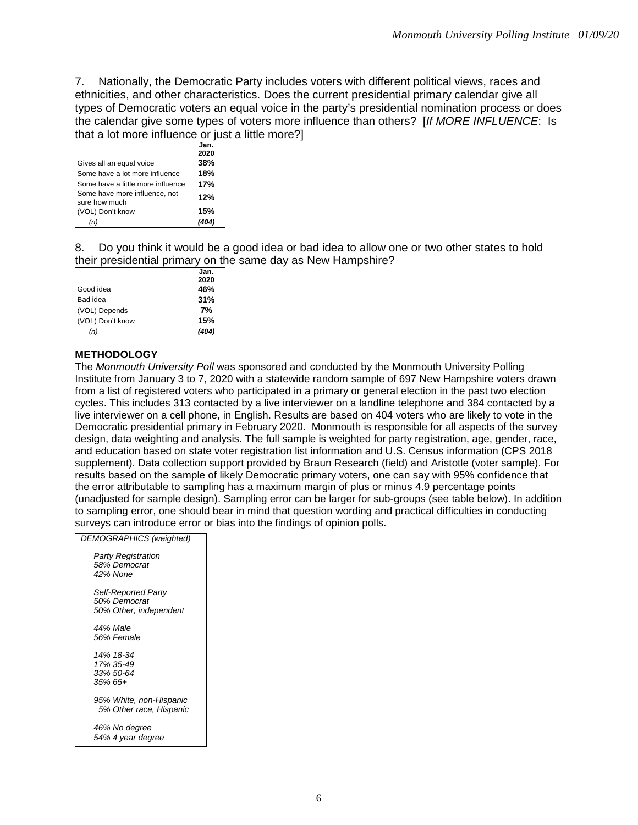7. Nationally, the Democratic Party includes voters with different political views, races and ethnicities, and other characteristics. Does the current presidential primary calendar give all types of Democratic voters an equal voice in the party's presidential nomination process or does the calendar give some types of voters more influence than others? [*If MORE INFLUENCE*: Is that a lot more influence or just a little more?]

|                                   | Jan. |
|-----------------------------------|------|
|                                   | 2020 |
| Gives all an equal voice          | 38%  |
| Some have a lot more influence    | 18%  |
| Some have a little more influence | 17%  |
| Some have more influence, not     | 12%  |
| sure how much                     |      |
| (VOL) Don't know                  | 15%  |
| (n)                               |      |
|                                   |      |

8. Do you think it would be a good idea or bad idea to allow one or two other states to hold their presidential primary on the same day as New Hampshire?

|                  | Jan.  |
|------------------|-------|
|                  | 2020  |
| Good idea        | 46%   |
| Bad idea         | 31%   |
| (VOL) Depends    | 7%    |
| (VOL) Don't know | 15%   |
| (n)              | (404) |
|                  |       |

#### **METHODOLOGY**

The *Monmouth University Poll* was sponsored and conducted by the Monmouth University Polling Institute from January 3 to 7, 2020 with a statewide random sample of 697 New Hampshire voters drawn from a list of registered voters who participated in a primary or general election in the past two election cycles. This includes 313 contacted by a live interviewer on a landline telephone and 384 contacted by a live interviewer on a cell phone, in English. Results are based on 404 voters who are likely to vote in the Democratic presidential primary in February 2020. Monmouth is responsible for all aspects of the survey design, data weighting and analysis. The full sample is weighted for party registration, age, gender, race, and education based on state voter registration list information and U.S. Census information (CPS 2018 supplement). Data collection support provided by Braun Research (field) and Aristotle (voter sample). For results based on the sample of likely Democratic primary voters, one can say with 95% confidence that the error attributable to sampling has a maximum margin of plus or minus 4.9 percentage points (unadjusted for sample design). Sampling error can be larger for sub-groups (see table below). In addition to sampling error, one should bear in mind that question wording and practical difficulties in conducting surveys can introduce error or bias into the findings of opinion polls.

| <b>DEMOGRAPHICS (weighted)</b> |
|--------------------------------|
| <b>Party Registration</b>      |
| 58% Democrat                   |
| 42% None                       |
| Self-Reported Party            |
| 50% Democrat                   |
| 50% Other, independent         |
| 44% Male                       |
| 56% Female                     |
| 14% 18-34                      |
| 17% 35-49                      |
| 33% 50-64                      |
| 35% 65+                        |
|                                |
| 95% White, non-Hispanic        |
| 5% Other race, Hispanic        |
| 46% No degree                  |
| 54% 4 year degree              |
|                                |
|                                |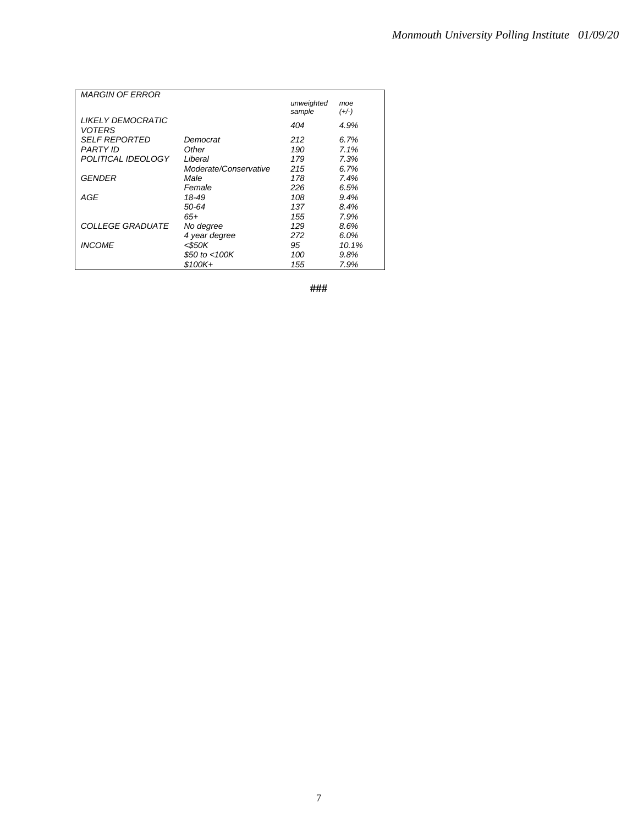| <b>MARGIN OF ERROR</b>  |                       |            |         |
|-------------------------|-----------------------|------------|---------|
|                         |                       | unweighted | moe     |
|                         |                       | sample     | $(+/-)$ |
| LIKELY DEMOCRATIC       |                       | 404        | 4.9%    |
| VOTERS                  |                       |            |         |
| <i>SELF REPORTED</i>    | Democrat              | 212        | 6.7%    |
| PARTY ID                | Other                 | 190        | 7.1%    |
| POLITICAL IDEOLOGY      | Liberal               | 179        | 7.3%    |
|                         | Moderate/Conservative | 215        | 6.7%    |
| GENDER                  | Male                  | 178        | 7.4%    |
|                         | Female                | 226        | 6.5%    |
| AGE                     | 18-49                 | 108        | 9.4%    |
|                         | 50-64                 | 137        | 8.4%    |
|                         | 65+                   | 155        | 7.9%    |
| <i>COLLEGE GRADUATE</i> | No degree             | 129        | 8.6%    |
|                         | 4 year degree         | 272        | 6.0%    |
| <b>INCOME</b>           | $<$ \$50K             | 95         | 10.1%   |
|                         | \$50 to <100K         | 100        | 9.8%    |
|                         | \$100K+               | 155        | 7.9%    |

**###**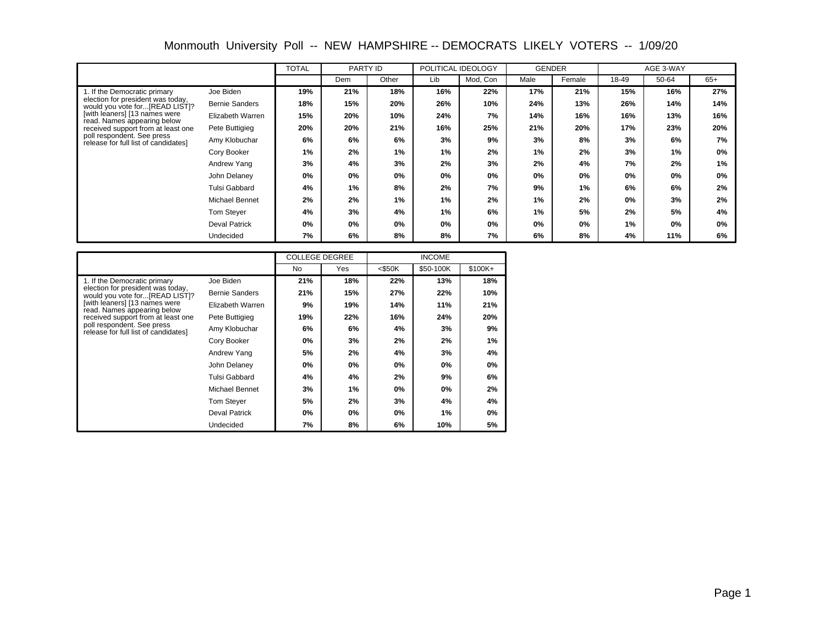Monmouth University Poll -- NEW HAMPSHIRE -- DEMOCRATS LIKELY VOTERS -- 1/09/20

|                                                                     |                       | <b>TOTAL</b> | PARTY ID |       |     | POLITICAL IDEOLOGY |      | <b>GENDER</b> |       | AGE 3-WAY |       |
|---------------------------------------------------------------------|-----------------------|--------------|----------|-------|-----|--------------------|------|---------------|-------|-----------|-------|
|                                                                     |                       |              | Dem      | Other | Lib | Mod, Con           | Male | Female        | 18-49 | 50-64     | $65+$ |
| 1. If the Democratic primary                                        | Joe Biden             | 19%          | 21%      | 18%   | 16% | 22%                | 17%  | 21%           | 15%   | 16%       | 27%   |
| election for president was today,<br>would you vote for[READ LIST]? | <b>Bernie Sanders</b> | 18%          | 15%      | 20%   | 26% | 10%                | 24%  | 13%           | 26%   | 14%       | 14%   |
| [with leaners] [13 names were<br>read. Names appearing below        | Elizabeth Warren      | 15%          | 20%      | 10%   | 24% | 7%                 | 14%  | 16%           | 16%   | 13%       | 16%   |
| received support from at least one                                  | Pete Buttigieg        | 20%          | 20%      | 21%   | 16% | 25%                | 21%  | 20%           | 17%   | 23%       | 20%   |
| poll respondent. See press<br>release for full list of candidates]  | Amy Klobuchar         | 6%           | 6%       | 6%    | 3%  | 9%                 | 3%   | 8%            | 3%    | 6%        | 7%    |
|                                                                     | Cory Booker           | 1%           | 2%       | 1%    | 1%  | 2%                 | 1%   | 2%            | 3%    | 1%        | 0%    |
|                                                                     | Andrew Yang           | 3%           | 4%       | 3%    | 2%  | 3%                 | 2%   | 4%            | 7%    | 2%        | 1%    |
|                                                                     | John Delaney          | 0%           | 0%       | $0\%$ | 0%  | 0%                 | 0%   | 0%            | 0%    | 0%        | 0%    |
|                                                                     | <b>Tulsi Gabbard</b>  | 4%           | 1%       | 8%    | 2%  | 7%                 | 9%   | 1%            | 6%    | 6%        | 2%    |
|                                                                     | Michael Bennet        | 2%           | 2%       | 1%    | 1%  | 2%                 | 1%   | 2%            | 0%    | 3%        | 2%    |
|                                                                     | Tom Stever            | 4%           | 3%       | 4%    | 1%  | 6%                 | 1%   | 5%            | 2%    | 5%        | 4%    |
|                                                                     | <b>Deval Patrick</b>  | 0%           | 0%       | 0%    | 0%  | 0%                 | 0%   | 0%            | 1%    | 0%        | 0%    |
|                                                                     | Undecided             | 7%           | 6%       | 8%    | 8%  | 7%                 | 6%   | 8%            | 4%    | 11%       | 6%    |

|                                                                      |                       | <b>COLLEGE DEGREE</b> |     |           | <b>INCOME</b> |          |
|----------------------------------------------------------------------|-----------------------|-----------------------|-----|-----------|---------------|----------|
|                                                                      |                       | <b>No</b>             | Yes | $<$ \$50K | \$50-100K     | $$100K+$ |
| 1. If the Democratic primary                                         | Joe Biden             | 21%                   | 18% | 22%       | 13%           | 18%      |
| election for president was today,<br>would you vote for [READ LIST]? | <b>Bernie Sanders</b> | 21%                   | 15% | 27%       | 22%           | 10%      |
| [with leaners] [13 names were<br>read. Names appearing below         | Elizabeth Warren      | 9%                    | 19% | 14%       | 11%           | 21%      |
| received support from at least one                                   | Pete Buttigieg        | 19%                   | 22% | 16%       | 24%           | 20%      |
| poll respondent. See press<br>release for full list of candidates]   | Amy Klobuchar         | 6%                    | 6%  | 4%        | 3%            | 9%       |
|                                                                      | Cory Booker           | 0%                    | 3%  | 2%        | 2%            | 1%       |
|                                                                      | Andrew Yang           | 5%                    | 2%  | 4%        | 3%            | 4%       |
|                                                                      | John Delaney          | 0%                    | 0%  | 0%        | $0\%$         | 0%       |
|                                                                      | Tulsi Gabbard         | 4%                    | 4%  | 2%        | 9%            | 6%       |
|                                                                      | Michael Bennet        | 3%                    | 1%  | 0%        | $0\%$         | 2%       |
|                                                                      | Tom Stever            | 5%                    | 2%  | 3%        | 4%            | 4%       |
|                                                                      | Deval Patrick         | 0%                    | 0%  | 0%        | 1%            | 0%       |
|                                                                      | Undecided             | 7%                    | 8%  | 6%        | 10%           | 5%       |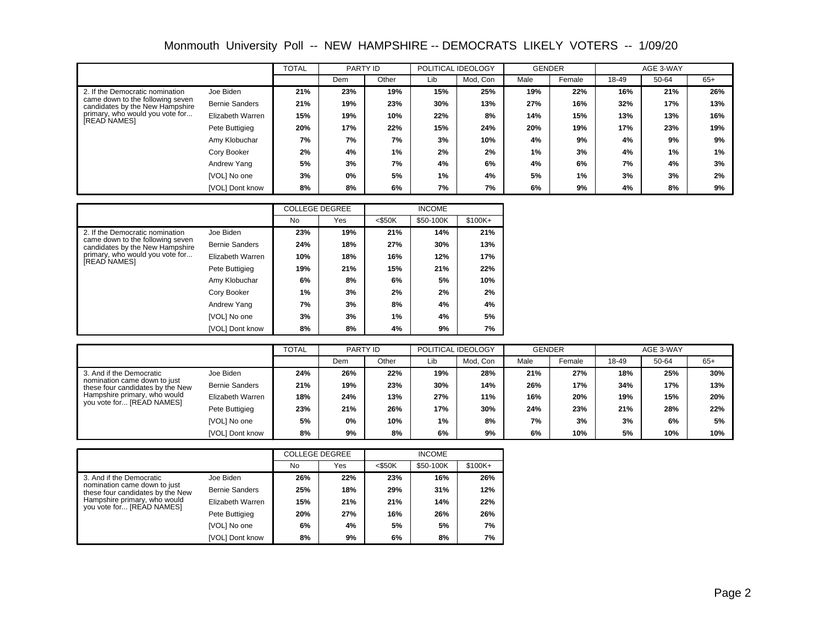|                                                                     |                       | <b>TOTAL</b> | PARTY ID |       |     | POLITICAL IDEOLOGY | <b>GENDER</b> |        |       | AGE 3-WAY |       |
|---------------------------------------------------------------------|-----------------------|--------------|----------|-------|-----|--------------------|---------------|--------|-------|-----------|-------|
|                                                                     |                       |              | Dem      | Other | Lib | Mod. Con           | Male          | Female | 18-49 | 50-64     | $65+$ |
| 2. If the Democratic nomination                                     | Joe Biden             | 21%          | 23%      | 19%   | 15% | 25%                | 19%           | 22%    | 16%   | 21%       | 26%   |
| came down to the following seven<br>candidates by the New Hampshire | <b>Bernie Sanders</b> | 21%          | 19%      | 23%   | 30% | 13%                | 27%           | 16%    | 32%   | 17%       | 13%   |
| primary, who would you vote for                                     | Elizabeth Warren      | 15%          | 19%      | 10%   | 22% | 8%                 | 14%           | 15%    | 13%   | 13%       | 16%   |
| <b>READ NAMESI</b>                                                  | Pete Buttigieg        | 20%          | 17%      | 22%   | 15% | 24%                | 20%           | 19%    | 17%   | 23%       | 19%   |
|                                                                     | Amy Klobuchar         | 7%           | 7%       | 7%    | 3%  | 10%                | 4%            | 9%     | 4%    | 9%        | 9%    |
|                                                                     | Cory Booker           | 2%           | 4%       | 1%    | 2%  | 2%                 | 1%            | 3%     | 4%    | 1%        | 1%    |
|                                                                     | Andrew Yang           | 5%           | 3%       | 7%    | 4%  | 6%                 | 4%            | 6%     | 7%    | 4%        | 3%    |
|                                                                     | [VOL] No one          | 3%           | 0%       | 5%    | 1%  | 4%                 | 5%            | 1%     | 3%    | 3%        | 2%    |
|                                                                     | [VOL] Dont know       | 8%           | 8%       | 6%    | 7%  | 7%                 | 6%            | 9%     | 4%    | 8%        | 9%    |

|                                                                     |                        | <b>COLLEGE DEGREE</b> |     |           | <b>INCOME</b> |          |
|---------------------------------------------------------------------|------------------------|-----------------------|-----|-----------|---------------|----------|
|                                                                     |                        | No                    | Yes | $<$ \$50K | \$50-100K     | $$100K+$ |
| 2. If the Democratic nomination                                     | Joe Biden              | 23%                   | 19% | 21%       | 14%           | 21%      |
| came down to the following seven<br>candidates by the New Hampshire | <b>Bernie Sanders</b>  | 24%                   | 18% | 27%       | 30%           | 13%      |
| primary, who would you vote for                                     | Elizabeth Warren       | 10%                   | 18% | 16%       | 12%           | 17%      |
| <b>[READ NAMES]</b>                                                 | Pete Buttigieg         | 19%                   | 21% | 15%       | 21%           | 22%      |
|                                                                     | Amy Klobuchar          | 6%                    | 8%  | 6%        | 5%            | 10%      |
|                                                                     | Cory Booker            | 1%                    | 3%  | 2%        | 2%            | 2%       |
|                                                                     | Andrew Yang            | 7%                    | 3%  | 8%        | 4%            | 4%       |
|                                                                     | [VOL] No one           | 3%                    | 3%  | 1%        | 4%            | 5%       |
|                                                                     | <b>IVOLI Dont know</b> | 8%                    | 8%  | 4%        | 9%            | 7%       |

|                                                                                                                                                           |                       | <b>TOTAL</b> | PARTY ID |       |     | POLITICAL IDEOLOGY | <b>GENDER</b> |        |       | AGE 3-WAY |       |
|-----------------------------------------------------------------------------------------------------------------------------------------------------------|-----------------------|--------------|----------|-------|-----|--------------------|---------------|--------|-------|-----------|-------|
|                                                                                                                                                           |                       |              | Dem      | Other | Lib | Mod, Con           | Male          | Female | 18-49 | 50-64     | $65+$ |
| 3. And if the Democratic<br>nomination came down to just<br>these four candidates by the New<br>Hampshire primary, who would<br>you vote for [READ NAMES] | Joe Biden             | 24%          | 26%      | 22%   | 19% | 28%                | 21%           | 27%    | 18%   | 25%       | 30%   |
|                                                                                                                                                           | <b>Bernie Sanders</b> | 21%          | 19%      | 23%   | 30% | 14%                | 26%           | 17%    | 34%   | 17%       | 13%   |
|                                                                                                                                                           | Elizabeth Warren      | 18%          | 24%      | 13%   | 27% | 11%                | 16%           | 20%    | 19%   | 15%       | 20%   |
|                                                                                                                                                           | Pete Buttigieg        | 23%          | 21%      | 26%   | 17% | 30%                | 24%           | 23%    | 21%   | 28%       | 22%   |
|                                                                                                                                                           | [VOL] No one          | 5%           | 0%       | 10%   | 1%  | 8%                 | 7%            | 3%     | 3%    | 6%        | 5%    |
|                                                                                                                                                           | [VOL] Dont know       | 8%           | 9%       | 8%    | 6%  | 9%                 | 6%            | 10%    | 5%    | 10%       | 10%   |

|                                                                                                                               |                       | <b>COLLEGE DEGREE</b> |     |           | <b>INCOME</b> |          |  |  |
|-------------------------------------------------------------------------------------------------------------------------------|-----------------------|-----------------------|-----|-----------|---------------|----------|--|--|
|                                                                                                                               |                       | No                    | Yes | $<$ \$50K | \$50-100K     | $$100K+$ |  |  |
| 3. And if the Democratic                                                                                                      | Joe Biden             | 26%                   | 22% | 23%       | 16%           | 26%      |  |  |
| nomination came down to just<br>these four candidates by the New<br>Hampshire primary, who would<br>you vote for [READ NAMES] | <b>Bernie Sanders</b> | 25%                   | 18% | 29%       | 31%           | 12%      |  |  |
|                                                                                                                               | Elizabeth Warren      | 15%                   | 21% | 21%       | 14%           | 22%      |  |  |
|                                                                                                                               | Pete Buttigieg        | 20%                   | 27% | 16%       | 26%           | 26%      |  |  |
|                                                                                                                               | [VOL] No one          | 6%                    | 4%  | 5%        | 5%            | 7%       |  |  |
|                                                                                                                               | IVOLI Dont know       | 8%                    | 9%  | 6%        | 8%            | 7%       |  |  |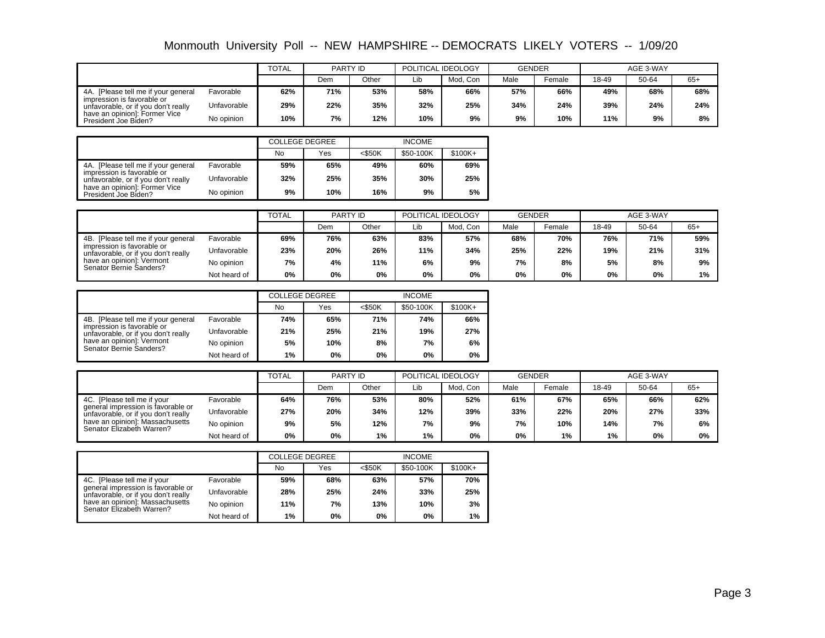|                                                                   |             | <b>TOTAL</b> | PARTY ID |       | POLITICAL IDEOLOGY |          | GENDER |        | AGE 3-WAY |       |       |
|-------------------------------------------------------------------|-------------|--------------|----------|-------|--------------------|----------|--------|--------|-----------|-------|-------|
|                                                                   |             |              | Dem      | Other | Lib                | Mod. Con | Male   | Female | 18-49     | 50-64 | $65+$ |
| [Please tell me if your general<br>4A.                            | Favorable   | 62%          | 71%      | 53%   | 58%                | 66%      | 57%    | 66%    | 49%       | 68%   | 68%   |
| impression is favorable or<br>unfavorable, or if you don't really | Unfavorable | 29%          | 22%      | 35%   | 32%                | 25%      | 34%    | 24%    | 39%       | 24%   | 24%   |
| have an opinion]: Former Vice<br>President Joe Biden?             | No opinion  | 10%          | 7%       | 12%   | 10%                | 9%       | 9%     | 10%    | 11%       | 9%    | 8%    |

|                                                                                                          |             |     | <b>COLLEGE DEGREE</b> |           | <b>INCOME</b> |           |
|----------------------------------------------------------------------------------------------------------|-------------|-----|-----------------------|-----------|---------------|-----------|
|                                                                                                          |             | No  | Yes                   | $<$ \$50K | \$50-100K     | $$100K +$ |
| 4A. [Please tell me if your general<br>impression is favorable or<br>unfavorable, or if you don't really | Favorable   | 59% | 65%                   | 49%       | 60%           | 69%       |
|                                                                                                          | Unfavorable | 32% | 25%                   | 35%       | 30%           | 25%       |
| have an opinion]: Former Vice<br>President Joe Biden?                                                    | No opinion  | 9%  | 10%                   | 16%       | 9%            | 5%        |

|                                                                                                                                                                               |              | <b>TOTAL</b> | PARTY ID |       | POLITICAL IDEOLOGY |          | <b>GENDER</b> |        | AGE 3-WAY |       |       |
|-------------------------------------------------------------------------------------------------------------------------------------------------------------------------------|--------------|--------------|----------|-------|--------------------|----------|---------------|--------|-----------|-------|-------|
|                                                                                                                                                                               |              |              | Dem      | Other | Lib                | Mod. Con | Male          | Female | 18-49     | 50-64 | $65+$ |
| Favorable<br>4B. [Please tell me if your general<br>impression is favorable or<br>unfavorable, or if you don't really<br>have an opinion]: Vermont<br>Senator Bernie Sanders? |              | 69%          | 76%      | 63%   | 83%                | 57%      | 68%           | 70%    | 76%       | 71%   | 59%   |
|                                                                                                                                                                               | Unfavorable  | 23%          | 20%      | 26%   | 11%                | 34%      | 25%           | 22%    | 19%       | 21%   | 31%   |
|                                                                                                                                                                               | No opinion   | 7%           | 4%       | 11%   | 6%                 | 9%       | 7%            | 8%     | 5%        | 8%    | 9%    |
|                                                                                                                                                                               | Not heard of | 0%           | 0%       | 0%    | 0%                 | 0%       | 0%            | 0%     | 0%        | 0%    | 1%    |

|                                                                                                                                                                  |              | <b>COLLEGE DEGREE</b> |     | <b>INCOME</b> |           |          |  |
|------------------------------------------------------------------------------------------------------------------------------------------------------------------|--------------|-----------------------|-----|---------------|-----------|----------|--|
|                                                                                                                                                                  |              | No                    | Yes | $<$ \$50K     | \$50-100K | $$100K+$ |  |
| 4B. [Please tell me if your general<br>impression is favorable or<br>unfavorable, or if you don't really<br>have an opinion]: Vermont<br>Senator Bernie Sanders? | Favorable    | 74%                   | 65% | 71%           | 74%       | 66%      |  |
|                                                                                                                                                                  | Unfavorable  | 21%                   | 25% | 21%           | 19%       | 27%      |  |
|                                                                                                                                                                  | No opinion   | 5%                    | 10% | 8%            | 7%        | 6%       |  |
|                                                                                                                                                                  | Not heard of | 1%                    | 0%  | 0%            | 0%        | 0%       |  |

|                                                                                                                                                                          |              | <b>TOTAL</b> | PARTY ID |       | POLITICAL IDEOLOGY |          | <b>GENDER</b> |        | AGE 3-WAY |       |       |
|--------------------------------------------------------------------------------------------------------------------------------------------------------------------------|--------------|--------------|----------|-------|--------------------|----------|---------------|--------|-----------|-------|-------|
|                                                                                                                                                                          |              |              | Dem      | Other | Lib                | Mod. Con | Male          | Female | 18-49     | 50-64 | $65+$ |
| 4C. [Please tell me if your<br>general impression is favorable or<br>unfavorable, or if you don't really<br>have an opinion!: Massachusetts<br>Senator Elizabeth Warren? | Favorable    | 64%          | 76%      | 53%   | 80%                | 52%      | 61%           | 67%    | 65%       | 66%   | 62%   |
|                                                                                                                                                                          | Unfavorable  | 27%          | 20%      | 34%   | 12%                | 39%      | 33%           | 22%    | 20%       | 27%   | 33%   |
|                                                                                                                                                                          | No opinion   | 9%           | 5%       | 12%   | 7%                 | 9%       | 7%            | 10%    | 14%       | 7%    | 6%    |
|                                                                                                                                                                          | Not heard of | 0%           | 0%       | 1%    | 1%                 | 0%       | 0%            | $1\%$  | 1%        | 0%    | 0%    |

|                                                                                                                                                                          |              | <b>COLLEGE DEGREE</b> |     |           | <b>INCOME</b> |           |
|--------------------------------------------------------------------------------------------------------------------------------------------------------------------------|--------------|-----------------------|-----|-----------|---------------|-----------|
|                                                                                                                                                                          |              | No                    | Yes | $<$ \$50K | \$50-100K     | $$100K +$ |
| 4C. [Please tell me if your<br>general impression is favorable or<br>unfavorable, or if you don't really<br>have an opinion]: Massachusetts<br>Senator Elizabeth Warren? | Favorable    | 59%                   | 68% | 63%       | 57%           | 70%       |
|                                                                                                                                                                          | Unfavorable  | 28%                   | 25% | 24%       | 33%           | 25%       |
|                                                                                                                                                                          | No opinion   | 11%                   | 7%  | 13%       | 10%           | 3%        |
|                                                                                                                                                                          | Not heard of | $1\%$                 | 0%  | 0%        | 0%            | 1%        |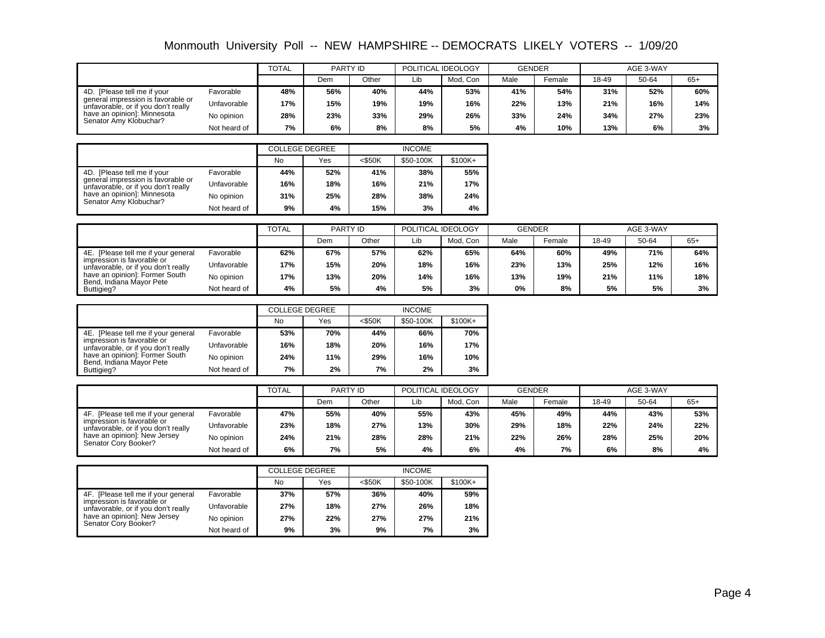|                                                                                                                                                                   |              | <b>TOTAL</b> | PARTY ID |       | POLITICAL IDEOLOGY |          | <b>GENDER</b> |        | AGE 3-WAY |       |       |
|-------------------------------------------------------------------------------------------------------------------------------------------------------------------|--------------|--------------|----------|-------|--------------------|----------|---------------|--------|-----------|-------|-------|
|                                                                                                                                                                   |              |              | Dem      | Other | Lib                | Mod. Con | Male          | Female | 18-49     | 50-64 | $65+$ |
| 4D. [Please tell me if your<br>general impression is favorable or<br>unfavorable, or if you don't really<br>have an opinion]: Minnesota<br>Senator Amy Klobuchar? | Favorable    | 48%          | 56%      | 40%   | 44%                | 53%      | 41%           | 54%    | 31%       | 52%   | 60%   |
|                                                                                                                                                                   | Unfavorable  | 17%          | 15%      | 19%   | 19%                | 16%      | 22%           | 13%    | 21%       | 16%   | 14%   |
|                                                                                                                                                                   | No opinion   | 28%          | 23%      | 33%   | 29%                | 26%      | 33%           | 24%    | 34%       | 27%   | 23%   |
|                                                                                                                                                                   | Not heard of | 7%           | 6%       | 8%    | 8%                 | 5%       | 4%            | 10%    | 13%       | 6%    | 3%    |

|                                                                                                                                                                   |              | <b>COLLEGE DEGREE</b> |     | <b>INCOME</b> |           |           |  |  |
|-------------------------------------------------------------------------------------------------------------------------------------------------------------------|--------------|-----------------------|-----|---------------|-----------|-----------|--|--|
|                                                                                                                                                                   |              | <b>No</b>             | Yes | $<$ \$50K     | \$50-100K | $$100K +$ |  |  |
| 4D. [Please tell me if your<br>general impression is favorable or<br>unfavorable, or if you don't really<br>have an opinion]: Minnesota<br>Senator Amy Klobuchar? | Favorable    | 44%                   | 52% | 41%           | 38%       | 55%       |  |  |
|                                                                                                                                                                   | Unfavorable  | 16%                   | 18% | 16%           | 21%       | 17%       |  |  |
|                                                                                                                                                                   | No opinion   | 31%                   | 25% | 28%           | 38%       | 24%       |  |  |
|                                                                                                                                                                   | Not heard of | 9%                    | 4%  | 15%           | 3%        | 4%        |  |  |

|                                                                   |              | <b>TOTAL</b> | PARTY ID |       | POLITICAL IDEOLOGY |          | <b>GENDER</b> |                    | AGE 3-WAY |       |       |
|-------------------------------------------------------------------|--------------|--------------|----------|-------|--------------------|----------|---------------|--------------------|-----------|-------|-------|
|                                                                   |              |              | Dem      | Other | Lib                | Mod. Con | Male          | <sup>⊏</sup> emale | 18-49     | 50-64 | $65+$ |
| 4E. [Please tell me if your general                               | Favorable    | 62%          | 67%      | 57%   | 62%                | 65%      | 64%           | 60%                | 49%       | 71%   | 64%   |
| impression is favorable or<br>unfavorable, or if you don't really | Unfavorable  | 17%          | 15%      | 20%   | 18%                | 16%      | 23%           | 13%                | 25%       | 12%   | 16%   |
| have an opinion]: Former South<br>Bend, Indiana Mayor Pete        | No opinion   | 17%          | 13%      | 20%   | 14%                | 16%      | 13%           | 19%                | 21%       | 11%   | 18%   |
| Buttigieg?                                                        | Not heard of | 4%           | 5%       | 4%    | 5%                 | 3%       | 0%            | 8%                 | 5%        | 5%    | 3%    |

|                                                                                                                                                                         |              | <b>COLLEGE DEGREE</b> |     |           | <b>INCOME</b> |           |
|-------------------------------------------------------------------------------------------------------------------------------------------------------------------------|--------------|-----------------------|-----|-----------|---------------|-----------|
|                                                                                                                                                                         |              | No                    | Yes | $<$ \$50K | \$50-100K     | $$100K +$ |
| 4E. [Please tell me if your general]<br>impression is favorable or<br>unfavorable, or if you don't really<br>have an opinion!: Former South<br>Bend, Indiana Mayor Pete | Favorable    | 53%                   | 70% | 44%       | 66%           | 70%       |
|                                                                                                                                                                         | Unfavorable  | 16%                   | 18% | 20%       | 16%           | 17%       |
|                                                                                                                                                                         | No opinion   | 24%                   | 11% | 29%       | 16%           | 10%       |
| Buttigieg?                                                                                                                                                              | Not heard of | 7%                    | 2%  | 7%        | 2%            | 3%        |

|                                                                                                                                                                  |              | <b>TOTAL</b> | PARTY ID |       | POLITICAL IDEOLOGY |          | <b>GENDER</b> |        | AGE 3-WAY |       |       |
|------------------------------------------------------------------------------------------------------------------------------------------------------------------|--------------|--------------|----------|-------|--------------------|----------|---------------|--------|-----------|-------|-------|
|                                                                                                                                                                  |              |              | Dem      | Other | Lib                | Mod. Con | Male          | Female | 18-49     | 50-64 | $65+$ |
| 4F. [Please tell me if your general<br>impression is favorable or<br>unfavorable, or if you don't really<br>have an opinion]: New Jersey<br>Senator Cory Booker? | Favorable    | 47%          | 55%      | 40%   | 55%                | 43%      | 45%           | 49%    | 44%       | 43%   | 53%   |
|                                                                                                                                                                  | Unfavorable  | 23%          | 18%      | 27%   | 13%                | 30%      | 29%           | 18%    | 22%       | 24%   | 22%   |
|                                                                                                                                                                  | No opinion   | 24%          | 21%      | 28%   | 28%                | 21%      | 22%           | 26%    | 28%       | 25%   | 20%   |
|                                                                                                                                                                  | Not heard of | 6%           | 7%       | 5%    | 4%                 | 6%       | 4%            | 7%     | 6%        | 8%    | 4%    |

|                                                                                                                                                                  |              | <b>COLLEGE DEGREE</b> |     |           | <b>INCOME</b> |           |
|------------------------------------------------------------------------------------------------------------------------------------------------------------------|--------------|-----------------------|-----|-----------|---------------|-----------|
|                                                                                                                                                                  |              | <b>No</b>             | Yes | $<$ \$50K | \$50-100K     | $$100K +$ |
| 4F. [Please tell me if your general<br>impression is favorable or<br>unfavorable, or if you don't really<br>have an opinion]: New Jersey<br>Senator Cory Booker? | Favorable    | 37%                   | 57% | 36%       | 40%           | 59%       |
|                                                                                                                                                                  | Unfavorable  | 27%                   | 18% | 27%       | 26%           | 18%       |
|                                                                                                                                                                  | No opinion   | 27%                   | 22% | 27%       | 27%           | 21%       |
|                                                                                                                                                                  | Not heard of | 9%                    | 3%  | 9%        | 7%            | 3%        |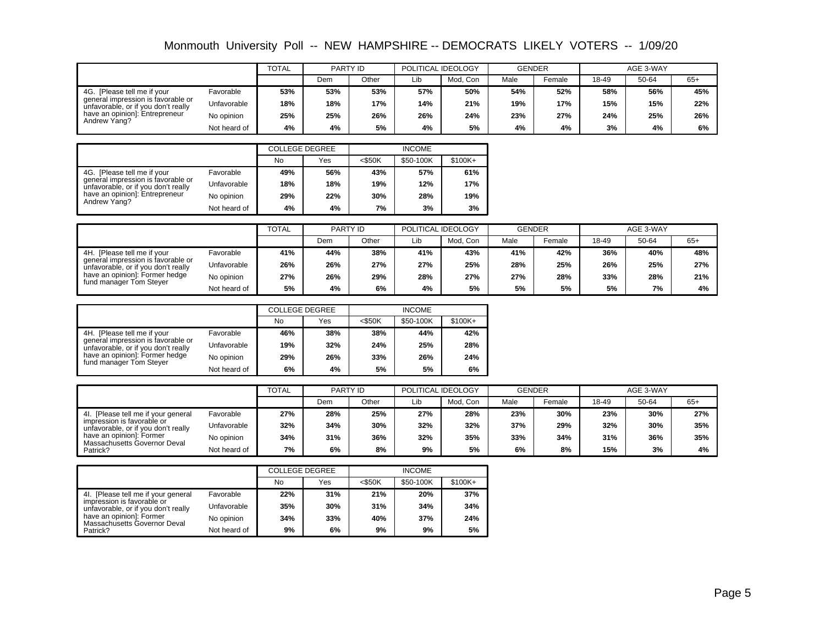|                                                                                                                                                               |              |     | <b>TOTAL</b><br>PARTY ID |       | POLITICAL IDEOLOGY |          | <b>GENDER</b> |        | AGE 3-WAY |       |       |
|---------------------------------------------------------------------------------------------------------------------------------------------------------------|--------------|-----|--------------------------|-------|--------------------|----------|---------------|--------|-----------|-------|-------|
|                                                                                                                                                               |              |     | Dem                      | Other | Lib                | Mod. Con | Male          | Female | 18-49     | 50-64 | $65+$ |
| [Please tell me if your<br>4G.<br>general impression is favorable or<br>unfavorable, or if you don't really<br>have an opinion]: Entrepreneur<br>Andrew Yang? | Favorable    | 53% | 53%                      | 53%   | 57%                | 50%      | 54%           | 52%    | 58%       | 56%   | 45%   |
|                                                                                                                                                               | Unfavorable  | 18% | 18%                      | 17%   | 14%                | 21%      | 19%           | 17%    | 15%       | 15%   | 22%   |
|                                                                                                                                                               | No opinion   | 25% | 25%                      | 26%   | 26%                | 24%      | 23%           | 27%    | 24%       | 25%   | 26%   |
|                                                                                                                                                               | Not heard of | 4%  | 4%                       | 5%    | 4%                 | 5%       | 4%            | 4%     | 3%        | 4%    | 6%    |

|                                                                                                          |              | <b>COLLEGE DEGREE</b> |     | <b>INCOME</b> |           |           |  |  |
|----------------------------------------------------------------------------------------------------------|--------------|-----------------------|-----|---------------|-----------|-----------|--|--|
|                                                                                                          |              | <b>No</b>             | Yes | $<$ \$50K     | \$50-100K | $$100K +$ |  |  |
| 4G. [Please tell me if your<br>general impression is favorable or<br>unfavorable, or if you don't really | Favorable    | 49%                   | 56% | 43%           | 57%       | 61%       |  |  |
|                                                                                                          | Unfavorable  | 18%                   | 18% | 19%           | 12%       | 17%       |  |  |
| have an opinion]: Entrepreneur<br>Andrew Yang?                                                           | No opinion   | 29%                   | 22% | 30%           | 28%       | 19%       |  |  |
|                                                                                                          | Not heard of | 4%                    | 4%  | 7%            | 3%        | 3%        |  |  |

|                                                                                                                                                                       | <b>TOTAL</b> |     | PARTY ID |       | POLITICAL IDEOLOGY |          | <b>GENDER</b> |                    | AGE 3-WAY |       |       |
|-----------------------------------------------------------------------------------------------------------------------------------------------------------------------|--------------|-----|----------|-------|--------------------|----------|---------------|--------------------|-----------|-------|-------|
|                                                                                                                                                                       |              |     | Dem      | Other | Lib                | Mod. Con | Male          | <sup>⊏</sup> emale | 18-49     | 50-64 | $65+$ |
| 4H. [Please tell me if your<br>general impression is favorable or<br>unfavorable, or if you don't really<br>have an opinion]: Former hedge<br>fund manager Tom Steyer | Favorable    | 41% | 44%      | 38%   | 41%                | 43%      | 41%           | 42%                | 36%       | 40%   | 48%   |
|                                                                                                                                                                       | Unfavorable  | 26% | 26%      | 27%   | 27%                | 25%      | 28%           | 25%                | 26%       | 25%   | 27%   |
|                                                                                                                                                                       | No opinion   | 27% | 26%      | 29%   | 28%                | 27%      | 27%           | 28%                | 33%       | 28%   | 21%   |
|                                                                                                                                                                       | Not heard of | 5%  | 4%       | 6%    | 4%                 | 5%       | 5%            | 5%                 | 5%        | 7%    | 4%    |

|                                                                                                                                                                       |              | <b>COLLEGE DEGREE</b> |     |           | <b>INCOME</b> |           |
|-----------------------------------------------------------------------------------------------------------------------------------------------------------------------|--------------|-----------------------|-----|-----------|---------------|-----------|
|                                                                                                                                                                       |              | No                    | Yes | $<$ \$50K | \$50-100K     | $$100K +$ |
| 4H. [Please tell me if your<br>general impression is favorable or<br>unfavorable, or if you don't really<br>have an opinion]: Former hedge<br>fund manager Tom Steyer | Favorable    | 46%                   | 38% | 38%       | 44%           | 42%       |
|                                                                                                                                                                       | Unfavorable  | 19%                   | 32% | 24%       | 25%           | 28%       |
|                                                                                                                                                                       | No opinion   | 29%                   | 26% | 33%       | 26%           | 24%       |
|                                                                                                                                                                       | Not heard of | 6%                    | 4%  | 5%        | 5%            | 6%        |

|                                                                                                                                                                                 |              | <b>TOTAL</b> | PARTY ID |       | POLITICAL IDEOLOGY |          | <b>GENDER</b> |        | AGE 3-WAY |       |       |
|---------------------------------------------------------------------------------------------------------------------------------------------------------------------------------|--------------|--------------|----------|-------|--------------------|----------|---------------|--------|-----------|-------|-------|
|                                                                                                                                                                                 |              |              | Dem      | Other | Lib                | Mod. Con | Male          | Female | 18-49     | 50-64 | $65+$ |
| 4. [Please tell me if your general<br>impression is favorable or<br>unfavorable, or if you don't really<br>have an opinion]: Former<br>Massachusetts Governor Deval<br>Patrick? | Favorable    | 27%          | 28%      | 25%   | 27%                | 28%      | 23%           | 30%    | 23%       | 30%   | 27%   |
|                                                                                                                                                                                 | Unfavorable  | 32%          | 34%      | 30%   | 32%                | 32%      | 37%           | 29%    | 32%       | 30%   | 35%   |
|                                                                                                                                                                                 | No opinion   | 34%          | 31%      | 36%   | 32%                | 35%      | 33%           | 34%    | 31%       | 36%   | 35%   |
|                                                                                                                                                                                 | Not heard of | 7%           | 6%       | 8%    | 9%                 | 5%       | 6%            | 8%     | 15%       | 3%    | 4%    |

|                                                                                                                                                                      |              | <b>COLLEGE DEGREE</b> |     | <b>INCOME</b> |           |           |  |
|----------------------------------------------------------------------------------------------------------------------------------------------------------------------|--------------|-----------------------|-----|---------------|-----------|-----------|--|
|                                                                                                                                                                      |              | No                    | Yes | $<$ \$50K     | \$50-100K | $$100K +$ |  |
| 41. [Please tell me if your general<br>impression is favorable or<br>unfavorable, or if you don't really<br>have an opinion]: Former<br>Massachusetts Governor Deval | Favorable    | 22%                   | 31% | 21%           | 20%       | 37%       |  |
|                                                                                                                                                                      | Unfavorable  | 35%                   | 30% | 31%           | 34%       | 34%       |  |
|                                                                                                                                                                      | No opinion   | 34%                   | 33% | 40%           | 37%       | 24%       |  |
| Patrick?                                                                                                                                                             | Not heard of | 9%                    | 6%  | 9%            | 9%        | 5%        |  |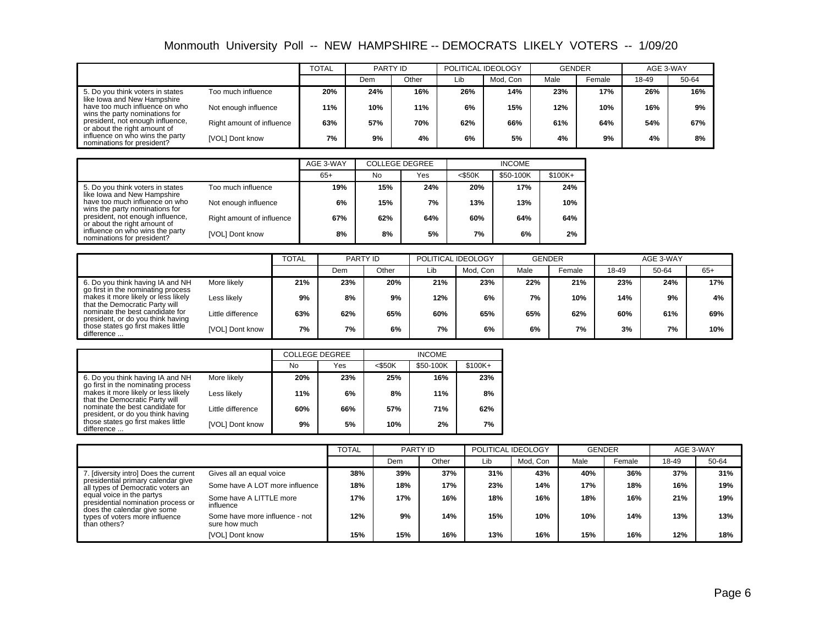|                                                                  |                           | <b>TOTAL</b> | PARTY ID |       | POLITICAL IDEOLOGY |          | <b>GENDER</b> |        | AGE 3-WAY |       |
|------------------------------------------------------------------|---------------------------|--------------|----------|-------|--------------------|----------|---------------|--------|-----------|-------|
|                                                                  |                           |              | Dem      | Other | Lib                | Mod. Con | Male          | Female | 18-49     | 50-64 |
| 5. Do you think voters in states<br>like Iowa and New Hampshire  | Too much influence        | 20%          | 24%      | 16%   | 26%                | 14%      | 23%           | 17%    | 26%       | 16%   |
| have too much influence on who<br>wins the party nominations for | Not enough influence      | 11%          | 10%      | 11%   | 6%                 | 15%      | 12%           | 10%    | 16%       | 9%    |
| president, not enough influence,<br>or about the right amount of | Right amount of influence | 63%          | 57%      | 70%   | 62%                | 66%      | 61%           | 64%    | 54%       | 67%   |
| influence on who wins the party<br>nominations for president?    | [VOL] Dont know           | 7%           | 9%       | 4%    | 6%                 | 5%       | 4%            | 9%     | 4%        | 8%    |

|                                                                                                                                                                                                         |                           | AGE 3-WAY |     | <b>COLLEGE DEGREE</b> | <b>INCOME</b> |           |          |  |
|---------------------------------------------------------------------------------------------------------------------------------------------------------------------------------------------------------|---------------------------|-----------|-----|-----------------------|---------------|-----------|----------|--|
|                                                                                                                                                                                                         |                           | $65+$     | No  | Yes                   | $<$ \$50K     | \$50-100K | $$100K+$ |  |
| 5. Do you think voters in states<br>like Iowa and New Hampshire<br>have too much influence on who<br>wins the party nominations for<br>president, not enough influence,<br>or about the right amount of | Too much influence        | 19%       | 15% | 24%                   | 20%           | 17%       | 24%      |  |
|                                                                                                                                                                                                         | Not enough influence      | 6%        | 15% | 7%                    | 13%           | 13%       | 10%      |  |
|                                                                                                                                                                                                         | Right amount of influence | 67%       | 62% | 64%                   | 60%           | 64%       | 64%      |  |
| influence on who wins the party<br>nominations for president?                                                                                                                                           | [VOL] Dont know           | 8%        | 8%  | 5%                    | 7%            | 6%        | 2%       |  |

|                                                                                                                                                                                                                                        |                   | <b>TOTAL</b> | PARTY ID |       | POLITICAL IDEOLOGY |          | <b>GENDER</b> |        | AGE 3-WAY |       |       |
|----------------------------------------------------------------------------------------------------------------------------------------------------------------------------------------------------------------------------------------|-------------------|--------------|----------|-------|--------------------|----------|---------------|--------|-----------|-------|-------|
|                                                                                                                                                                                                                                        |                   |              | Dem      | Other | Lib                | Mod. Con | Male          | Female | 18-49     | 50-64 | $65+$ |
| 6. Do you think having IA and NH<br>go first in the nominating process<br>makes it more likely or less likely<br>Less likelv<br>that the Democratic Party will<br>nominate the best candidate for<br>president, or do you think having | More likely       | 21%          | 23%      | 20%   | 21%                | 23%      | 22%           | 21%    | 23%       | 24%   | 17%   |
|                                                                                                                                                                                                                                        |                   | 9%           | 8%       | 9%    | 12%                | 6%       | 7%            | 10%    | 14%       | 9%    | 4%    |
|                                                                                                                                                                                                                                        | Little difference | 63%          | 62%      | 65%   | 60%                | 65%      | 65%           | 62%    | 60%       | 61%   | 69%   |
| those states go first makes little<br>difference                                                                                                                                                                                       | [VOL] Dont know   | 7%           | 7%       | 6%    | 7%                 | 6%       | 6%            | 7%     | 3%        | 7%    | 10%   |

|                                                                                                                                                                                                   |                   | <b>COLLEGE DEGREE</b> |     |           |           |          |
|---------------------------------------------------------------------------------------------------------------------------------------------------------------------------------------------------|-------------------|-----------------------|-----|-----------|-----------|----------|
|                                                                                                                                                                                                   |                   | No                    | Yes | $<$ \$50K | \$50-100K | $$100K+$ |
| 6. Do you think having IA and NH<br>go first in the nominating process                                                                                                                            | More likely       | 20%                   | 23% | 25%       | 16%       | 23%      |
| makes it more likely or less likely<br>that the Democratic Party will<br>nominate the best candidate for<br>president, or do you think having<br>those states go first makes little<br>difference | Less likely       | 11%                   | 6%  | 8%        | 11%       | 8%       |
|                                                                                                                                                                                                   | Little difference | 60%                   | 66% | 57%       | 71%       | 62%      |
|                                                                                                                                                                                                   | [VOL] Dont know   | 9%                    | 5%  | 10%       | 2%        | 7%       |

|                                                                                                                                                                                                                                                                      |                                                 | <b>TOTAL</b> | PARTY ID |       | POLITICAL IDEOLOGY |          | <b>GENDER</b> |        | AGE 3-WAY |       |
|----------------------------------------------------------------------------------------------------------------------------------------------------------------------------------------------------------------------------------------------------------------------|-------------------------------------------------|--------------|----------|-------|--------------------|----------|---------------|--------|-----------|-------|
|                                                                                                                                                                                                                                                                      |                                                 |              | Dem      | Other | Lib                | Mod, Con | Male          | Female | 18-49     | 50-64 |
| 7. [diversity intro] Does the current<br>presidential primary calendar give<br>all types of Democratic voters an<br>equal voice in the partys<br>presidential nomination process or<br>does the calendar give some<br>types of voters more influence<br>than others? | Gives all an equal voice                        | 38%          | 39%      | 37%   | 31%                | 43%      | 40%           | 36%    | 37%       | 31%   |
|                                                                                                                                                                                                                                                                      | Some have A LOT more influence                  | 18%          | 18%      | 17%   | 23%                | 14%      | 17%           | 18%    | 16%       | 19%   |
|                                                                                                                                                                                                                                                                      | Some have A LITTLE more<br>influence            | 17%          | 17%      | 16%   | 18%                | 16%      | 18%           | 16%    | 21%       | 19%   |
|                                                                                                                                                                                                                                                                      | Some have more influence - not<br>sure how much | 12%          | 9%       | 14%   | 15%                | 10%      | 10%           | 14%    | 13%       | 13%   |
|                                                                                                                                                                                                                                                                      | [VOL] Dont know                                 | 15%          | 15%      | 16%   | 13%                | 16%      | 15%           | 16%    | 12%       | 18%   |